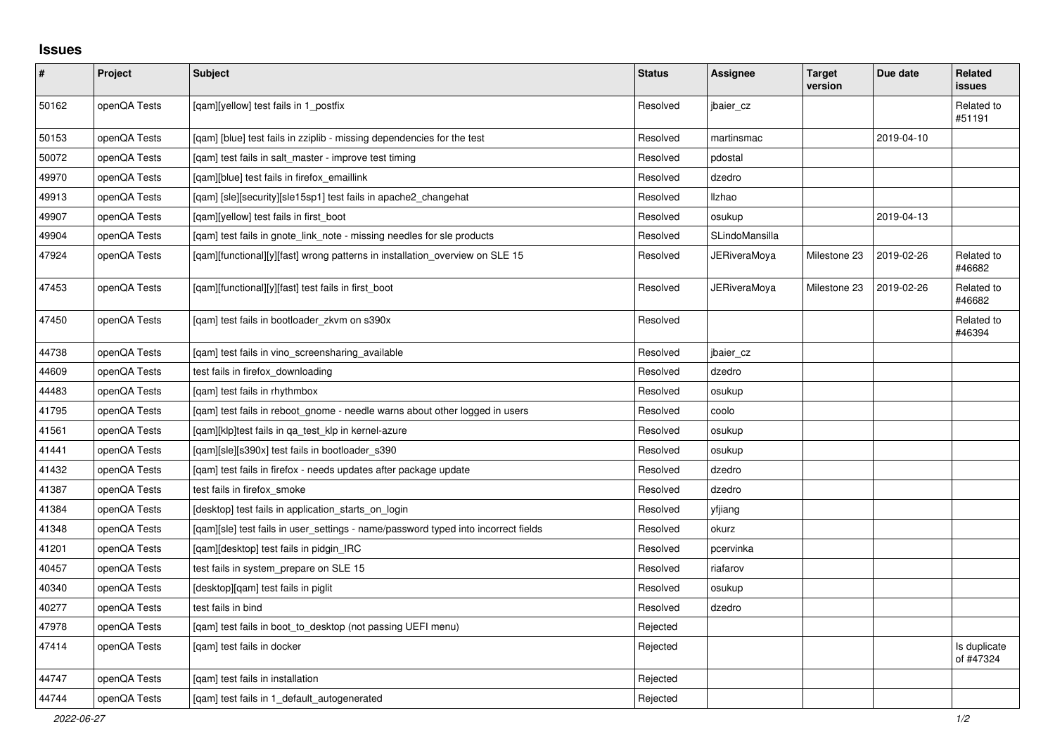## **Issues**

| $\pmb{\#}$ | Project      | <b>Subject</b>                                                                     | <b>Status</b> | <b>Assignee</b> | <b>Target</b><br>version | Due date   | Related<br>issues         |
|------------|--------------|------------------------------------------------------------------------------------|---------------|-----------------|--------------------------|------------|---------------------------|
| 50162      | openQA Tests | [gam][yellow] test fails in 1 postfix                                              | Resolved      | jbaier cz       |                          |            | Related to<br>#51191      |
| 50153      | openQA Tests | [gam] [blue] test fails in zziplib - missing dependencies for the test             | Resolved      | martinsmac      |                          | 2019-04-10 |                           |
| 50072      | openQA Tests | [qam] test fails in salt_master - improve test timing                              | Resolved      | pdostal         |                          |            |                           |
| 49970      | openQA Tests | [qam][blue] test fails in firefox_emaillink                                        | Resolved      | dzedro          |                          |            |                           |
| 49913      | openQA Tests | [gam] [sle][security][sle15sp1] test fails in apache2 changehat                    | Resolved      | Ilzhao          |                          |            |                           |
| 49907      | openQA Tests | [gam][yellow] test fails in first boot                                             | Resolved      | osukup          |                          | 2019-04-13 |                           |
| 49904      | openQA Tests | [gam] test fails in gnote link note - missing needles for sle products             | Resolved      | SLindoMansilla  |                          |            |                           |
| 47924      | openQA Tests | [gam][functional][y][fast] wrong patterns in installation overview on SLE 15       | Resolved      | JERiveraMoya    | Milestone 23             | 2019-02-26 | Related to<br>#46682      |
| 47453      | openQA Tests | [qam][functional][y][fast] test fails in first_boot                                | Resolved      | JERiveraMoya    | Milestone 23             | 2019-02-26 | Related to<br>#46682      |
| 47450      | openQA Tests | [gam] test fails in bootloader zkvm on s390x                                       | Resolved      |                 |                          |            | Related to<br>#46394      |
| 44738      | openQA Tests | [qam] test fails in vino_screensharing_available                                   | Resolved      | jbaier_cz       |                          |            |                           |
| 44609      | openQA Tests | test fails in firefox_downloading                                                  | Resolved      | dzedro          |                          |            |                           |
| 44483      | openQA Tests | [gam] test fails in rhythmbox                                                      | Resolved      | osukup          |                          |            |                           |
| 41795      | openQA Tests | [gam] test fails in reboot gnome - needle warns about other logged in users        | Resolved      | coolo           |                          |            |                           |
| 41561      | openQA Tests | [qam][klp]test fails in qa_test_klp in kernel-azure                                | Resolved      | osukup          |                          |            |                           |
| 41441      | openQA Tests | [qam][sle][s390x] test fails in bootloader_s390                                    | Resolved      | osukup          |                          |            |                           |
| 41432      | openQA Tests | [qam] test fails in firefox - needs updates after package update                   | Resolved      | dzedro          |                          |            |                           |
| 41387      | openQA Tests | test fails in firefox smoke                                                        | Resolved      | dzedro          |                          |            |                           |
| 41384      | openQA Tests | [desktop] test fails in application starts on login                                | Resolved      | yfjiang         |                          |            |                           |
| 41348      | openQA Tests | [gam][sle] test fails in user settings - name/password typed into incorrect fields | Resolved      | okurz           |                          |            |                           |
| 41201      | openQA Tests | [qam][desktop] test fails in pidgin_IRC                                            | Resolved      | pcervinka       |                          |            |                           |
| 40457      | openQA Tests | test fails in system_prepare on SLE 15                                             | Resolved      | riafarov        |                          |            |                           |
| 40340      | openQA Tests | [desktop][qam] test fails in piglit                                                | Resolved      | osukup          |                          |            |                           |
| 40277      | openQA Tests | test fails in bind                                                                 | Resolved      | dzedro          |                          |            |                           |
| 47978      | openQA Tests | [qam] test fails in boot_to_desktop (not passing UEFI menu)                        | Rejected      |                 |                          |            |                           |
| 47414      | openQA Tests | [gam] test fails in docker                                                         | Rejected      |                 |                          |            | Is duplicate<br>of #47324 |
| 44747      | openQA Tests | [qam] test fails in installation                                                   | Rejected      |                 |                          |            |                           |
| 44744      | openQA Tests | [gam] test fails in 1 default autogenerated                                        | Rejected      |                 |                          |            |                           |